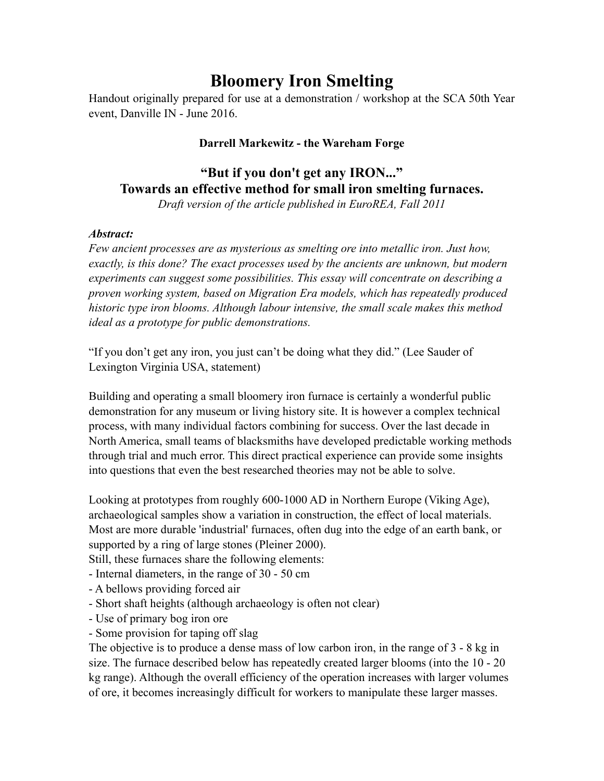# **Bloomery Iron Smelting**

Handout originally prepared for use at a demonstration / workshop at the SCA 50th Year event, Danville IN - June 2016.

#### **Darrell Markewitz - the Wareham Forge**

## **"But if you don't get any IRON..." Towards an effective method for small iron smelting furnaces.**

*Draft version of the article published in EuroREA, Fall 2011*

#### *Abstract:*

*Few ancient processes are as mysterious as smelting ore into metallic iron. Just how, exactly, is this done? The exact processes used by the ancients are unknown, but modern experiments can suggest some possibilities. This essay will concentrate on describing a proven working system, based on Migration Era models, which has repeatedly produced historic type iron blooms. Although labour intensive, the small scale makes this method ideal as a prototype for public demonstrations.*

"If you don't get any iron, you just can't be doing what they did." (Lee Sauder of Lexington Virginia USA, statement)

Building and operating a small bloomery iron furnace is certainly a wonderful public demonstration for any museum or living history site. It is however a complex technical process, with many individual factors combining for success. Over the last decade in North America, small teams of blacksmiths have developed predictable working methods through trial and much error. This direct practical experience can provide some insights into questions that even the best researched theories may not be able to solve.

Looking at prototypes from roughly 600-1000 AD in Northern Europe (Viking Age), archaeological samples show a variation in construction, the effect of local materials. Most are more durable 'industrial' furnaces, often dug into the edge of an earth bank, or supported by a ring of large stones (Pleiner 2000).

Still, these furnaces share the following elements:

- Internal diameters, in the range of 30 - 50 cm

- A bellows providing forced air
- Short shaft heights (although archaeology is often not clear)
- Use of primary bog iron ore
- Some provision for taping off slag

The objective is to produce a dense mass of low carbon iron, in the range of 3 - 8 kg in size. The furnace described below has repeatedly created larger blooms (into the 10 - 20 kg range). Although the overall efficiency of the operation increases with larger volumes of ore, it becomes increasingly difficult for workers to manipulate these larger masses.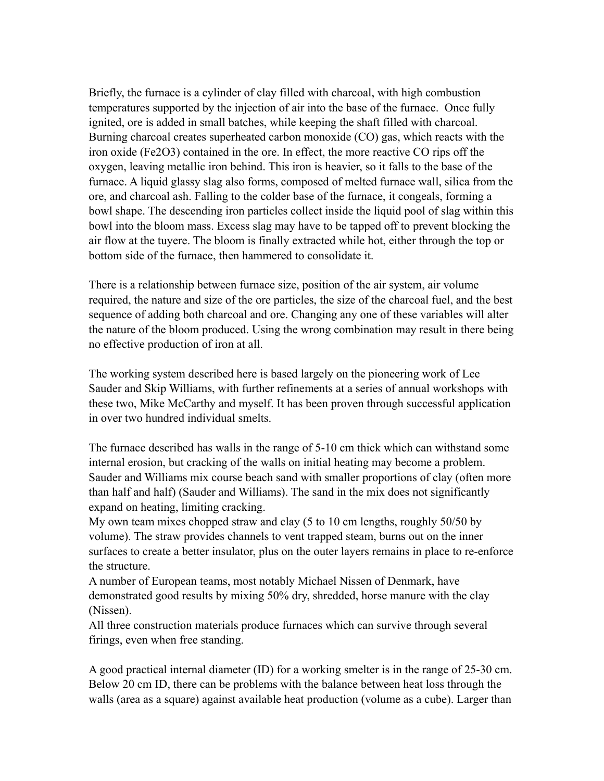Briefly, the furnace is a cylinder of clay filled with charcoal, with high combustion temperatures supported by the injection of air into the base of the furnace. Once fully ignited, ore is added in small batches, while keeping the shaft filled with charcoal. Burning charcoal creates superheated carbon monoxide (CO) gas, which reacts with the iron oxide (Fe2O3) contained in the ore. In effect, the more reactive CO rips off the oxygen, leaving metallic iron behind. This iron is heavier, so it falls to the base of the furnace. A liquid glassy slag also forms, composed of melted furnace wall, silica from the ore, and charcoal ash. Falling to the colder base of the furnace, it congeals, forming a bowl shape. The descending iron particles collect inside the liquid pool of slag within this bowl into the bloom mass. Excess slag may have to be tapped off to prevent blocking the air flow at the tuyere. The bloom is finally extracted while hot, either through the top or bottom side of the furnace, then hammered to consolidate it.

There is a relationship between furnace size, position of the air system, air volume required, the nature and size of the ore particles, the size of the charcoal fuel, and the best sequence of adding both charcoal and ore. Changing any one of these variables will alter the nature of the bloom produced. Using the wrong combination may result in there being no effective production of iron at all.

The working system described here is based largely on the pioneering work of Lee Sauder and Skip Williams, with further refinements at a series of annual workshops with these two, Mike McCarthy and myself. It has been proven through successful application in over two hundred individual smelts.

The furnace described has walls in the range of 5-10 cm thick which can withstand some internal erosion, but cracking of the walls on initial heating may become a problem. Sauder and Williams mix course beach sand with smaller proportions of clay (often more than half and half) (Sauder and Williams). The sand in the mix does not significantly expand on heating, limiting cracking.

My own team mixes chopped straw and clay (5 to 10 cm lengths, roughly 50/50 by volume). The straw provides channels to vent trapped steam, burns out on the inner surfaces to create a better insulator, plus on the outer layers remains in place to re-enforce the structure.

A number of European teams, most notably Michael Nissen of Denmark, have demonstrated good results by mixing 50% dry, shredded, horse manure with the clay (Nissen).

All three construction materials produce furnaces which can survive through several firings, even when free standing.

A good practical internal diameter (ID) for a working smelter is in the range of 25-30 cm. Below 20 cm ID, there can be problems with the balance between heat loss through the walls (area as a square) against available heat production (volume as a cube). Larger than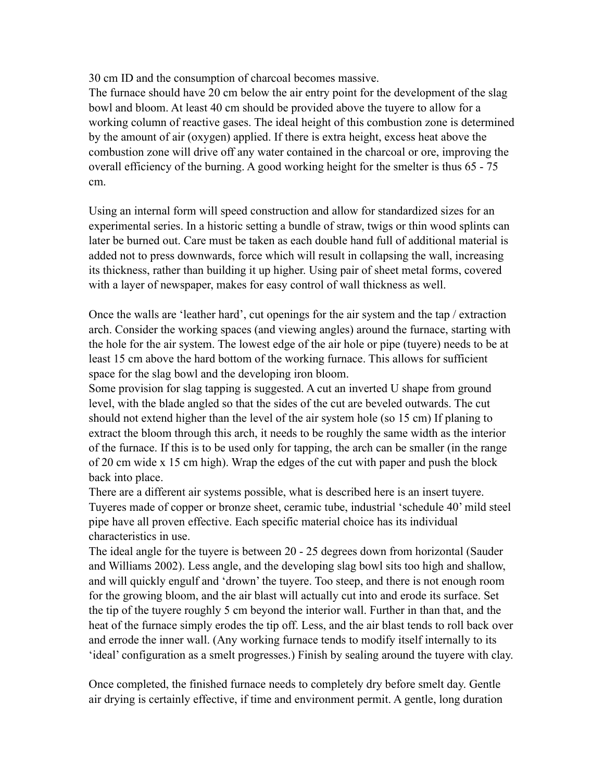30 cm ID and the consumption of charcoal becomes massive.

The furnace should have 20 cm below the air entry point for the development of the slag bowl and bloom. At least 40 cm should be provided above the tuyere to allow for a working column of reactive gases. The ideal height of this combustion zone is determined by the amount of air (oxygen) applied. If there is extra height, excess heat above the combustion zone will drive off any water contained in the charcoal or ore, improving the overall efficiency of the burning. A good working height for the smelter is thus 65 - 75 cm.

Using an internal form will speed construction and allow for standardized sizes for an experimental series. In a historic setting a bundle of straw, twigs or thin wood splints can later be burned out. Care must be taken as each double hand full of additional material is added not to press downwards, force which will result in collapsing the wall, increasing its thickness, rather than building it up higher. Using pair of sheet metal forms, covered with a layer of newspaper, makes for easy control of wall thickness as well.

Once the walls are 'leather hard', cut openings for the air system and the tap / extraction arch. Consider the working spaces (and viewing angles) around the furnace, starting with the hole for the air system. The lowest edge of the air hole or pipe (tuyere) needs to be at least 15 cm above the hard bottom of the working furnace. This allows for sufficient space for the slag bowl and the developing iron bloom.

Some provision for slag tapping is suggested. A cut an inverted U shape from ground level, with the blade angled so that the sides of the cut are beveled outwards. The cut should not extend higher than the level of the air system hole (so 15 cm) If planing to extract the bloom through this arch, it needs to be roughly the same width as the interior of the furnace. If this is to be used only for tapping, the arch can be smaller (in the range of 20 cm wide x 15 cm high). Wrap the edges of the cut with paper and push the block back into place.

There are a different air systems possible, what is described here is an insert tuyere. Tuyeres made of copper or bronze sheet, ceramic tube, industrial 'schedule 40' mild steel pipe have all proven effective. Each specific material choice has its individual characteristics in use.

The ideal angle for the tuyere is between 20 - 25 degrees down from horizontal (Sauder and Williams 2002). Less angle, and the developing slag bowl sits too high and shallow, and will quickly engulf and 'drown' the tuyere. Too steep, and there is not enough room for the growing bloom, and the air blast will actually cut into and erode its surface. Set the tip of the tuyere roughly 5 cm beyond the interior wall. Further in than that, and the heat of the furnace simply erodes the tip off. Less, and the air blast tends to roll back over and errode the inner wall. (Any working furnace tends to modify itself internally to its 'ideal' configuration as a smelt progresses.) Finish by sealing around the tuyere with clay.

Once completed, the finished furnace needs to completely dry before smelt day. Gentle air drying is certainly effective, if time and environment permit. A gentle, long duration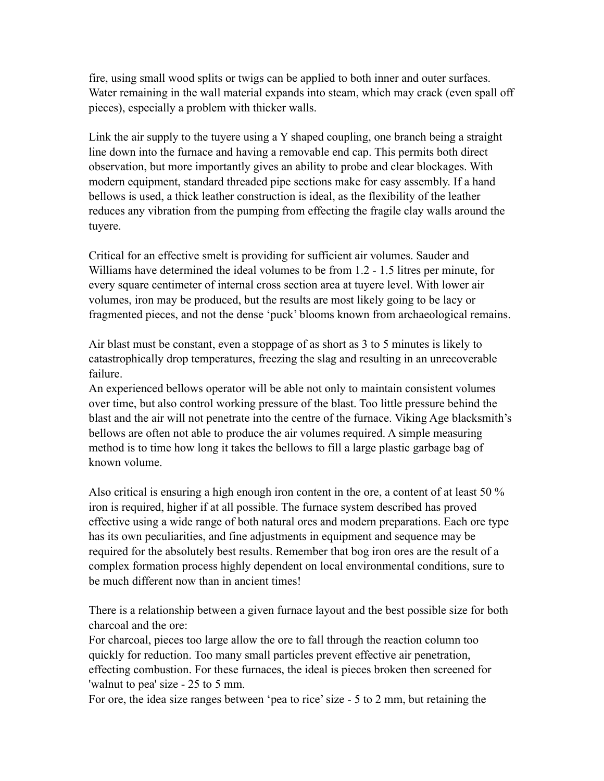fire, using small wood splits or twigs can be applied to both inner and outer surfaces. Water remaining in the wall material expands into steam, which may crack (even spall off pieces), especially a problem with thicker walls.

Link the air supply to the tuyere using a Y shaped coupling, one branch being a straight line down into the furnace and having a removable end cap. This permits both direct observation, but more importantly gives an ability to probe and clear blockages. With modern equipment, standard threaded pipe sections make for easy assembly. If a hand bellows is used, a thick leather construction is ideal, as the flexibility of the leather reduces any vibration from the pumping from effecting the fragile clay walls around the tuyere.

Critical for an effective smelt is providing for sufficient air volumes. Sauder and Williams have determined the ideal volumes to be from 1.2 - 1.5 litres per minute, for every square centimeter of internal cross section area at tuyere level. With lower air volumes, iron may be produced, but the results are most likely going to be lacy or fragmented pieces, and not the dense 'puck' blooms known from archaeological remains.

Air blast must be constant, even a stoppage of as short as 3 to 5 minutes is likely to catastrophically drop temperatures, freezing the slag and resulting in an unrecoverable failure.

An experienced bellows operator will be able not only to maintain consistent volumes over time, but also control working pressure of the blast. Too little pressure behind the blast and the air will not penetrate into the centre of the furnace. Viking Age blacksmith's bellows are often not able to produce the air volumes required. A simple measuring method is to time how long it takes the bellows to fill a large plastic garbage bag of known volume.

Also critical is ensuring a high enough iron content in the ore, a content of at least 50 % iron is required, higher if at all possible. The furnace system described has proved effective using a wide range of both natural ores and modern preparations. Each ore type has its own peculiarities, and fine adjustments in equipment and sequence may be required for the absolutely best results. Remember that bog iron ores are the result of a complex formation process highly dependent on local environmental conditions, sure to be much different now than in ancient times!

There is a relationship between a given furnace layout and the best possible size for both charcoal and the ore:

For charcoal, pieces too large allow the ore to fall through the reaction column too quickly for reduction. Too many small particles prevent effective air penetration, effecting combustion. For these furnaces, the ideal is pieces broken then screened for 'walnut to pea' size - 25 to 5 mm.

For ore, the idea size ranges between 'pea to rice' size - 5 to 2 mm, but retaining the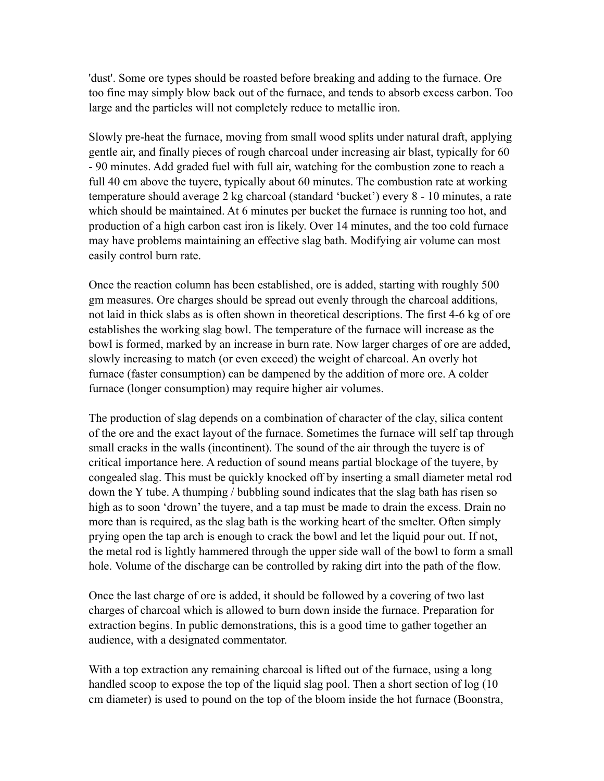'dust'. Some ore types should be roasted before breaking and adding to the furnace. Ore too fine may simply blow back out of the furnace, and tends to absorb excess carbon. Too large and the particles will not completely reduce to metallic iron.

Slowly pre-heat the furnace, moving from small wood splits under natural draft, applying gentle air, and finally pieces of rough charcoal under increasing air blast, typically for 60 - 90 minutes. Add graded fuel with full air, watching for the combustion zone to reach a full 40 cm above the tuyere, typically about 60 minutes. The combustion rate at working temperature should average 2 kg charcoal (standard 'bucket') every 8 - 10 minutes, a rate which should be maintained. At 6 minutes per bucket the furnace is running too hot, and production of a high carbon cast iron is likely. Over 14 minutes, and the too cold furnace may have problems maintaining an effective slag bath. Modifying air volume can most easily control burn rate.

Once the reaction column has been established, ore is added, starting with roughly 500 gm measures. Ore charges should be spread out evenly through the charcoal additions, not laid in thick slabs as is often shown in theoretical descriptions. The first 4-6 kg of ore establishes the working slag bowl. The temperature of the furnace will increase as the bowl is formed, marked by an increase in burn rate. Now larger charges of ore are added, slowly increasing to match (or even exceed) the weight of charcoal. An overly hot furnace (faster consumption) can be dampened by the addition of more ore. A colder furnace (longer consumption) may require higher air volumes.

The production of slag depends on a combination of character of the clay, silica content of the ore and the exact layout of the furnace. Sometimes the furnace will self tap through small cracks in the walls (incontinent). The sound of the air through the tuyere is of critical importance here. A reduction of sound means partial blockage of the tuyere, by congealed slag. This must be quickly knocked off by inserting a small diameter metal rod down the Y tube. A thumping / bubbling sound indicates that the slag bath has risen so high as to soon 'drown' the tuyere, and a tap must be made to drain the excess. Drain no more than is required, as the slag bath is the working heart of the smelter. Often simply prying open the tap arch is enough to crack the bowl and let the liquid pour out. If not, the metal rod is lightly hammered through the upper side wall of the bowl to form a small hole. Volume of the discharge can be controlled by raking dirt into the path of the flow.

Once the last charge of ore is added, it should be followed by a covering of two last charges of charcoal which is allowed to burn down inside the furnace. Preparation for extraction begins. In public demonstrations, this is a good time to gather together an audience, with a designated commentator.

With a top extraction any remaining charcoal is lifted out of the furnace, using a long handled scoop to expose the top of the liquid slag pool. Then a short section of log (10 cm diameter) is used to pound on the top of the bloom inside the hot furnace (Boonstra,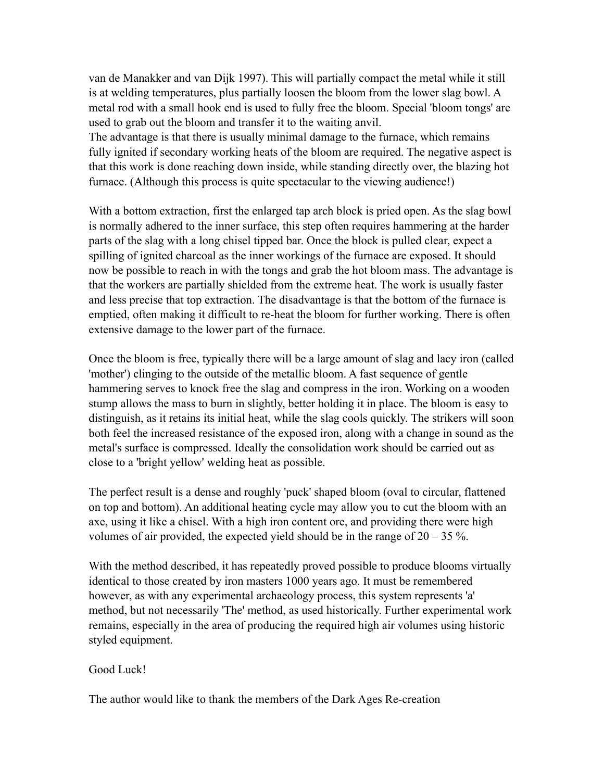van de Manakker and van Dijk 1997). This will partially compact the metal while it still is at welding temperatures, plus partially loosen the bloom from the lower slag bowl. A metal rod with a small hook end is used to fully free the bloom. Special 'bloom tongs' are used to grab out the bloom and transfer it to the waiting anvil.

The advantage is that there is usually minimal damage to the furnace, which remains fully ignited if secondary working heats of the bloom are required. The negative aspect is that this work is done reaching down inside, while standing directly over, the blazing hot furnace. (Although this process is quite spectacular to the viewing audience!)

With a bottom extraction, first the enlarged tap arch block is pried open. As the slag bowl is normally adhered to the inner surface, this step often requires hammering at the harder parts of the slag with a long chisel tipped bar. Once the block is pulled clear, expect a spilling of ignited charcoal as the inner workings of the furnace are exposed. It should now be possible to reach in with the tongs and grab the hot bloom mass. The advantage is that the workers are partially shielded from the extreme heat. The work is usually faster and less precise that top extraction. The disadvantage is that the bottom of the furnace is emptied, often making it difficult to re-heat the bloom for further working. There is often extensive damage to the lower part of the furnace.

Once the bloom is free, typically there will be a large amount of slag and lacy iron (called 'mother') clinging to the outside of the metallic bloom. A fast sequence of gentle hammering serves to knock free the slag and compress in the iron. Working on a wooden stump allows the mass to burn in slightly, better holding it in place. The bloom is easy to distinguish, as it retains its initial heat, while the slag cools quickly. The strikers will soon both feel the increased resistance of the exposed iron, along with a change in sound as the metal's surface is compressed. Ideally the consolidation work should be carried out as close to a 'bright yellow' welding heat as possible.

The perfect result is a dense and roughly 'puck' shaped bloom (oval to circular, flattened on top and bottom). An additional heating cycle may allow you to cut the bloom with an axe, using it like a chisel. With a high iron content ore, and providing there were high volumes of air provided, the expected yield should be in the range of  $20 - 35$ %.

With the method described, it has repeatedly proved possible to produce blooms virtually identical to those created by iron masters 1000 years ago. It must be remembered however, as with any experimental archaeology process, this system represents 'a' method, but not necessarily 'The' method, as used historically. Further experimental work remains, especially in the area of producing the required high air volumes using historic styled equipment.

#### Good Luck!

The author would like to thank the members of the Dark Ages Re-creation